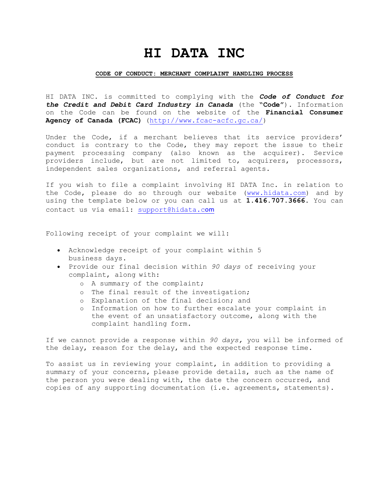## **HI DATA INC**

## **CODE OF CONDUCT: MERCHANT COMPLAINT HANDLING PROCESS**

HI DATA INC. is committed to complying with the *Code of Conduct for the Credit and Debit Card Industry in Canada* (the **"Code"**). Information on the Code can be found on the website of the **Financial Consumer Agency of Canada (FCAC)** [\(http://www.fcac-acfc.gc.ca/\)](http://www.fcac-acfc.gc.ca/))

Under the Code, if a merchant believes that its service providers' conduct is contrary to the Code, they may report the issue to their payment processing company (also known as the acquirer). Service providers include, but are not limited to, acquirers, processors, independent sales organizations, and referral agents.

If you wish to file a complaint involving HI DATA Inc. in relation to the Code, please do so through our website (www.hidata.com) and by using the template below or you can call us at **1.416.707.3666**. You can contact us via email: [support@hidata.c](mailto:support@hidata.c)om

Following receipt of your complaint we will:

- Acknowledge receipt of your complaint within 5 business days.
- Provide our final decision within *90 days* of receiving your complaint, along with:
	- o A summary of the complaint;
	- o The final result of the investigation;
	- o Explanation of the final decision; and
	- o Information on how to further escalate your complaint in the event of an unsatisfactory outcome, along with the complaint handling form.

If we cannot provide a response within *90 days,* you will be informed of the delay, reason for the delay, and the expected response time.

To assist us in reviewing your complaint, in addition to providing a summary of your concerns, please provide details, such as the name of the person you were dealing with, the date the concern occurred, and copies of any supporting documentation (i.e. agreements, statements).